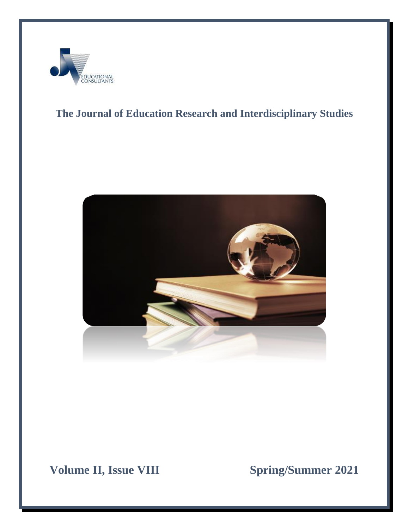

# **The Journal of Education Research and Interdisciplinary Studies**



**Volume II, Issue VIII** Spring/Summer 2021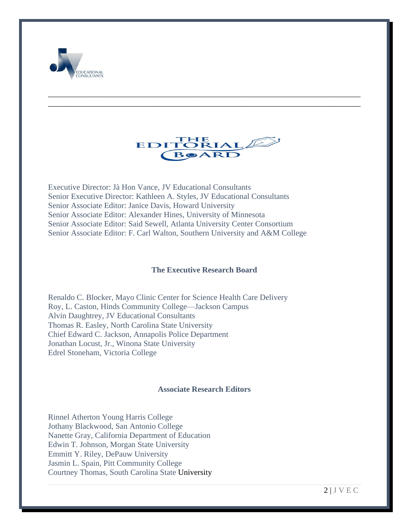



\_\_\_\_\_\_\_\_\_\_\_\_\_\_\_\_\_\_\_\_\_\_\_\_\_\_\_\_\_\_\_\_\_\_\_\_\_\_\_\_\_\_\_\_\_\_\_\_\_\_\_\_\_\_\_\_\_\_\_\_\_\_\_\_\_\_\_\_\_\_\_\_\_\_\_\_\_\_ \_\_\_\_\_\_\_\_\_\_\_\_\_\_\_\_\_\_\_\_\_\_\_\_\_\_\_\_\_\_\_\_\_\_\_\_\_\_\_\_\_\_\_\_\_\_\_\_\_\_\_\_\_\_\_\_\_\_\_\_\_\_\_\_\_\_\_\_\_\_\_\_\_\_\_\_\_\_

Executive Director: Jà Hon Vance, JV Educational Consultants Senior Executive Director: Kathleen A. Styles, JV Educational Consultants Senior Associate Editor: Janice Davis, Howard University Senior Associate Editor: Alexander Hines, University of Minnesota Senior Associate Editor: Said Sewell, Atlanta University Center Consortium Senior Associate Editor: F. Carl Walton, Southern University and A&M College

#### **The Executive Research Board**

Renaldo C. Blocker, Mayo Clinic Center for Science Health Care Delivery Roy, L. Caston, Hinds Community College—Jackson Campus Alvin Daughtrey, JV Educational Consultants Thomas R. Easley, North Carolina State University Chief Edward C. Jackson, Annapolis Police Department Jonathan Locust, Jr., Winona State University Edrel Stoneham, Victoria College

#### **Associate Research Editors**

Rinnel Atherton Young Harris College Jothany Blackwood, San Antonio College Nanette Gray, California Department of Education Edwin T. Johnson, Morgan State University Emmitt Y. Riley, DePauw University Jasmin L. Spain, Pitt Community College Courtney Thomas, South Carolina State University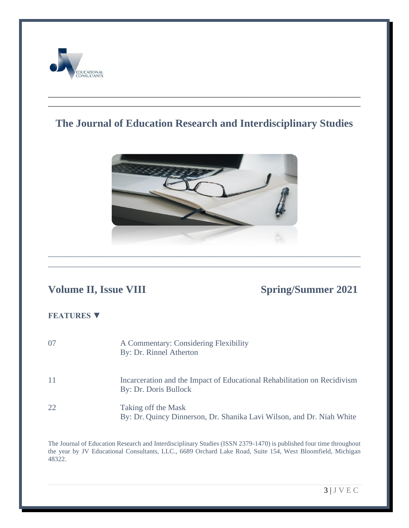

# **The Journal of Education Research and Interdisciplinary Studies**

\_\_\_\_\_\_\_\_\_\_\_\_\_\_\_\_\_\_\_\_\_\_\_\_\_\_\_\_\_\_\_\_\_\_\_\_\_\_\_\_\_\_\_\_\_\_\_\_\_\_\_\_\_\_\_\_\_\_\_\_\_\_\_\_\_\_\_\_\_\_\_\_\_\_\_\_\_\_ \_\_\_\_\_\_\_\_\_\_\_\_\_\_\_\_\_\_\_\_\_\_\_\_\_\_\_\_\_\_\_\_\_\_\_\_\_\_\_\_\_\_\_\_\_\_\_\_\_\_\_\_\_\_\_\_\_\_\_\_\_\_\_\_\_\_\_\_\_\_\_\_\_\_\_\_\_\_



\_\_\_\_\_\_\_\_\_\_\_\_\_\_\_\_\_\_\_\_\_\_\_\_\_\_\_\_\_\_\_\_\_\_\_\_\_\_\_\_\_\_\_\_\_\_\_\_\_\_\_\_\_\_\_\_\_\_\_\_\_\_\_\_\_\_\_\_\_\_\_\_\_\_\_\_\_\_

# **Volume II, Issue VIII Spring/Summer 2021**

## **FEATURES ▼**

| 07  | A Commentary: Considering Flexibility<br>By: Dr. Rinnel Atherton                                  |
|-----|---------------------------------------------------------------------------------------------------|
| -11 | Incarceration and the Impact of Educational Rehabilitation on Recidivism<br>By: Dr. Doris Bullock |
| 22. | Taking off the Mask<br>By: Dr. Quincy Dinnerson, Dr. Shanika Lavi Wilson, and Dr. Niah White      |

The Journal of Education Research and Interdisciplinary Studies (ISSN 2379-1470) is published four time throughout the year by JV Educational Consultants, LLC., 6689 Orchard Lake Road, Suite 154, West Bloomfield, Michigan 48322.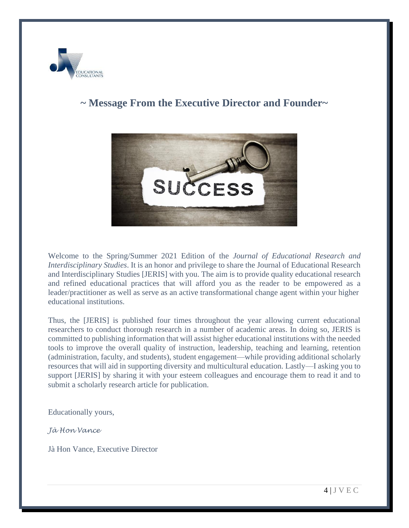

# **~ Message From the Executive Director and Founder~**



Welcome to the Spring/Summer 2021 Edition of the *Journal of Educational Research and Interdisciplinary Studies*. It is an honor and privilege to share the Journal of Educational Research and Interdisciplinary Studies [JERIS] with you. The aim is to provide quality educational research and refined educational practices that will afford you as the reader to be empowered as a leader/practitioner as well as serve as an active transformational change agent within your higher educational institutions.

Thus, the [JERIS] is published four times throughout the year allowing current educational researchers to conduct thorough research in a number of academic areas. In doing so, JERIS is committed to publishing information that will assist higher educational institutions with the needed tools to improve the overall quality of instruction, leadership, teaching and learning, retention (administration, faculty, and students), student engagement—while providing additional scholarly resources that will aid in supporting diversity and multicultural education. Lastly—I asking you to support [JERIS] by sharing it with your esteem colleagues and encourage them to read it and to submit a scholarly research article for publication.

Educationally yours,

*Jà Hon Vance*

Jà Hon Vance, Executive Director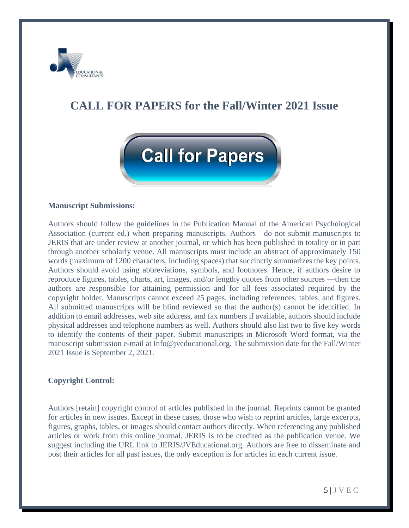

# **CALL FOR PAPERS for the Fall/Winter 2021 Issue**



#### **Manuscript Submissions:**

Authors should follow the guidelines in the Publication Manual of the American Psychological Association (current ed.) when preparing manuscripts. Authors—do not submit manuscripts to JERIS that are under review at another journal, or which has been published in totality or in part through another scholarly venue. All manuscripts must include an abstract of approximately 150 words (maximum of 1200 characters, including spaces) that succinctly summarizes the key points. Authors should avoid using abbreviations, symbols, and footnotes. Hence, if authors desire to reproduce figures, tables, charts, art, images, and/or lengthy quotes from other sources —then the authors are responsible for attaining permission and for all fees associated required by the copyright holder. Manuscripts cannot exceed 25 pages, including references, tables, and figures. All submitted manuscripts will be blind reviewed so that the author(s) cannot be identified. In addition to email addresses, web site address, and fax numbers if available, authors should include physical addresses and telephone numbers as well. Authors should also list two to five key words to identify the contents of their paper. Submit manuscripts in Microsoft Word format, via the manuscript submission e-mail at Info@jveducational.org. The submission date for the Fall/Winter 2021 Issue is September 2, 2021.

#### **Copyright Control:**

Authors [retain] copyright control of articles published in the journal. Reprints cannot be granted for articles in new issues. Except in these cases, those who wish to reprint articles, large excerpts, figures, graphs, tables, or images should contact authors directly. When referencing any published articles or work from this online journal, JERIS is to be credited as the publication venue. We suggest including the URL link to JERIS/JVEducational.org. Authors are free to disseminate and post their articles for all past issues, the only exception is for articles in each current issue.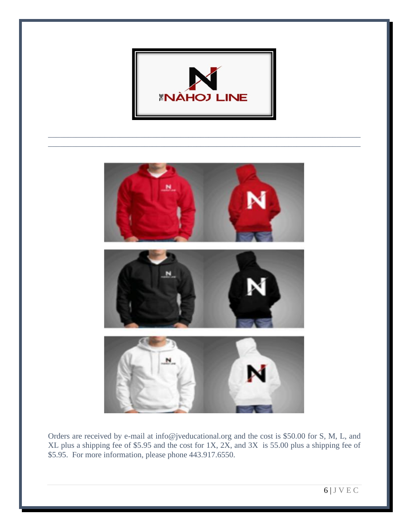

\_\_\_\_\_\_\_\_\_\_\_\_\_\_\_\_\_\_\_\_\_\_\_\_\_\_\_\_\_\_\_\_\_\_\_\_\_\_\_\_\_\_\_\_\_\_\_\_\_\_\_\_\_\_\_\_\_\_\_\_\_\_\_\_\_\_\_\_\_\_\_\_\_\_\_\_\_\_ \_\_\_\_\_\_\_\_\_\_\_\_\_\_\_\_\_\_\_\_\_\_\_\_\_\_\_\_\_\_\_\_\_\_\_\_\_\_\_\_\_\_\_\_\_\_\_\_\_\_\_\_\_\_\_\_\_\_\_\_\_\_\_\_\_\_\_\_\_\_\_\_\_\_\_\_\_\_



Orders are received by e-mail at [info@jveducational.org](mailto:info@jveducational.org) and the cost is \$50.00 for S, M, L, and XL plus a shipping fee of \$5.95 and the cost for 1X, 2X, and 3X is 55.00 plus a shipping fee of \$5.95. For more information, please phone 443.917.6550.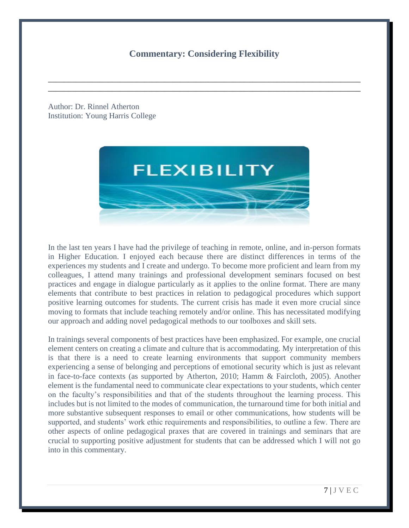## **Commentary: Considering Flexibility**

\_\_\_\_\_\_\_\_\_\_\_\_\_\_\_\_\_\_\_\_\_\_\_\_\_\_\_\_\_\_\_\_\_\_\_\_\_\_\_\_\_\_\_\_\_\_\_\_\_\_\_\_\_\_\_\_\_\_\_\_\_\_\_\_\_\_\_\_\_\_\_\_\_\_\_\_\_\_ \_\_\_\_\_\_\_\_\_\_\_\_\_\_\_\_\_\_\_\_\_\_\_\_\_\_\_\_\_\_\_\_\_\_\_\_\_\_\_\_\_\_\_\_\_\_\_\_\_\_\_\_\_\_\_\_\_\_\_\_\_\_\_\_\_\_\_\_\_\_\_\_\_\_\_\_\_\_

Author: Dr. Rinnel Atherton Institution: Young Harris College



In the last ten years I have had the privilege of teaching in remote, online, and in-person formats in Higher Education. I enjoyed each because there are distinct differences in terms of the experiences my students and I create and undergo. To become more proficient and learn from my colleagues, I attend many trainings and professional development seminars focused on best practices and engage in dialogue particularly as it applies to the online format. There are many elements that contribute to best practices in relation to pedagogical procedures which support positive learning outcomes for students. The current crisis has made it even more crucial since moving to formats that include teaching remotely and/or online. This has necessitated modifying our approach and adding novel pedagogical methods to our toolboxes and skill sets.

In trainings several components of best practices have been emphasized. For example, one crucial element centers on creating a climate and culture that is accommodating. My interpretation of this is that there is a need to create learning environments that support community members experiencing a sense of belonging and perceptions of emotional security which is just as relevant in face-to-face contexts (as supported by Atherton, 2010; Hamm & Faircloth, 2005). Another element is the fundamental need to communicate clear expectations to your students, which center on the faculty's responsibilities and that of the students throughout the learning process. This includes but is not limited to the modes of communication, the turnaround time for both initial and more substantive subsequent responses to email or other communications, how students will be supported, and students' work ethic requirements and responsibilities, to outline a few. There are other aspects of online pedagogical praxes that are covered in trainings and seminars that are crucial to supporting positive adjustment for students that can be addressed which I will not go into in this commentary.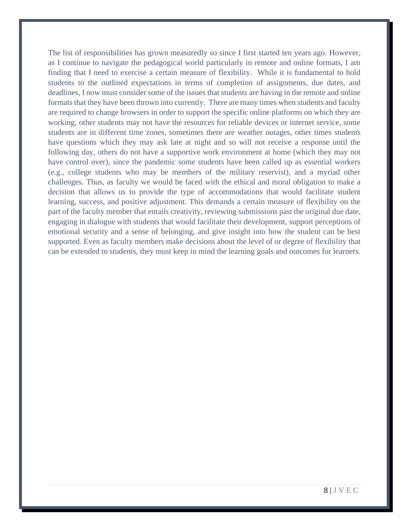The list of responsibilities has grown measuredly so since I first started ten years ago. However, as I continue to navigate the pedagogical world particularly in remote and online formats, I am finding that I need to exercise a certain measure of flexibility. While it is fundamental to hold students to the outlined expectations in terms of completion of assignments, due dates, and deadlines, I now must consider some of the issues that students are having in the remote and online formats that they have been thrown into currently. There are many times when students and faculty are required to change browsers in order to support the specific online platforms on which they are working, other students may not have the resources for reliable devices or internet service, some students are in different time zones, sometimes there are weather outages, other times students have questions which they may ask late at night and so will not receive a response until the following day, others do not have a supportive work environment at home (which they may not have control over), since the pandemic some students have been called up as essential workers (e.g., college students who may be members of the military reservist), and a myriad other challenges. Thus, as faculty we would be faced with the ethical and moral obligation to make a decision that allows us to provide the type of accommodations that would facilitate student learning, success, and positive adjustment. This demands a certain measure of flexibility on the part of the faculty member that entails creativity, reviewing submissions past the original due date, engaging in dialogue with students that would facilitate their development, support perceptions of emotional security and a sense of belonging, and give insight into how the student can be best supported. Even as faculty members make decisions about the level of or degree of flexibility that can be extended to students, they must keep in mind the learning goals and outcomes for learners.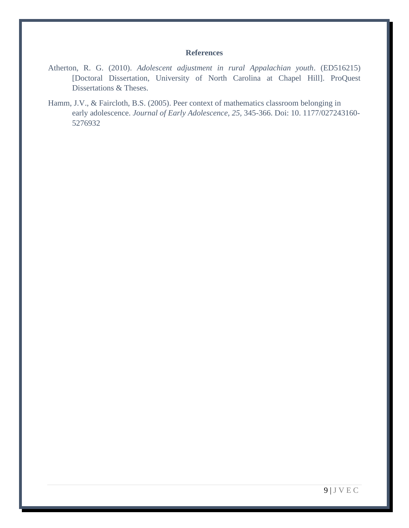#### **References**

- Atherton, R. G. (2010). *Adolescent adjustment in rural Appalachian youth*. (ED516215) [Doctoral Dissertation, University of North Carolina at Chapel Hill]. ProQuest Dissertations & Theses.
- Hamm, J.V., & Faircloth, B.S. (2005). Peer context of mathematics classroom belonging in early adolescence. *Journal of Early Adolescence, 25,* 345-366. Doi: 10. 1177/027243160- 5276932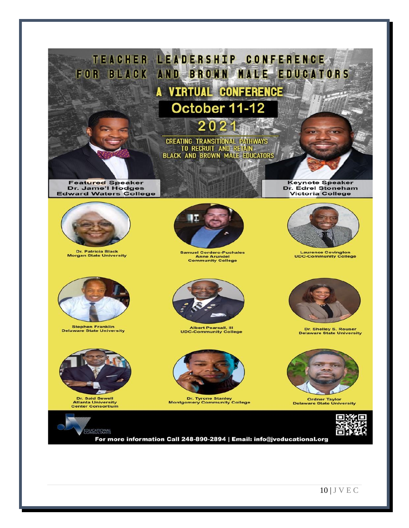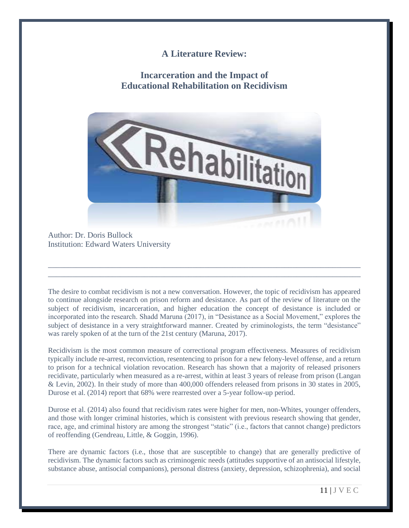### **A Literature Review:**

# **Incarceration and the Impact of Educational Rehabilitation on Recidivism**



Author: Dr. Doris Bullock Institution: Edward Waters University

The desire to combat recidivism is not a new conversation. However, the topic of recidivism has appeared to continue alongside research on prison reform and desistance. As part of the review of literature on the subject of recidivism, incarceration, and higher education the concept of desistance is included or incorporated into the research. Shadd Maruna (2017), in "Desistance as a Social Movement," explores the subject of desistance in a very straightforward manner. Created by criminologists, the term "desistance" was rarely spoken of at the turn of the 21st century (Maruna, 2017).

\_\_\_\_\_\_\_\_\_\_\_\_\_\_\_\_\_\_\_\_\_\_\_\_\_\_\_\_\_\_\_\_\_\_\_\_\_\_\_\_\_\_\_\_\_\_\_\_\_\_\_\_\_\_\_\_\_\_\_\_\_\_\_\_\_\_\_\_\_\_\_\_\_\_\_\_\_\_ \_\_\_\_\_\_\_\_\_\_\_\_\_\_\_\_\_\_\_\_\_\_\_\_\_\_\_\_\_\_\_\_\_\_\_\_\_\_\_\_\_\_\_\_\_\_\_\_\_\_\_\_\_\_\_\_\_\_\_\_\_\_\_\_\_\_\_\_\_\_\_\_\_\_\_\_\_\_

Recidivism is the most common measure of correctional program effectiveness. Measures of recidivism typically include re-arrest, reconviction, resentencing to prison for a new felony-level offense, and a return to prison for a technical violation revocation. Research has shown that a majority of released prisoners recidivate, particularly when measured as a re-arrest, within at least 3 years of release from prison (Langan & Levin, 2002). In their study of more than 400,000 offenders released from prisons in 30 states in 2005, Durose et al. (2014) report that 68% were rearrested over a 5-year follow-up period.

Durose et al. (2014) also found that recidivism rates were higher for men, non-Whites, younger offenders, and those with longer criminal histories, which is consistent with previous research showing that gender, race, age, and criminal history are among the strongest "static" (i.e., factors that cannot change) predictors of reoffending (Gendreau, Little, & Goggin, 1996).

There are dynamic factors (i.e., those that are susceptible to change) that are generally predictive of recidivism. The dynamic factors such as criminogenic needs (attitudes supportive of an antisocial lifestyle, substance abuse, antisocial companions), personal distress (anxiety, depression, schizophrenia), and social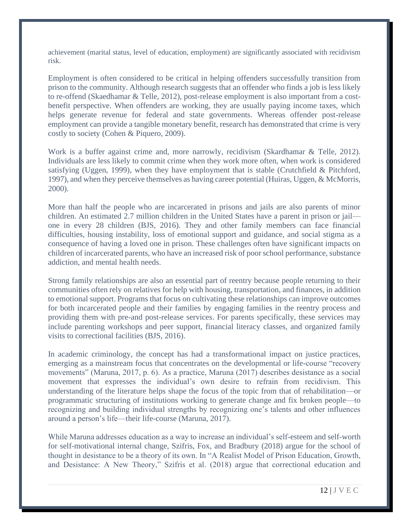achievement (marital status, level of education, employment) are significantly associated with recidivism risk.

Employment is often considered to be critical in helping offenders successfully transition from prison to the community. Although research suggests that an offender who finds a job is less likely to re-offend (Skaedhamar & Telle, 2012), post-release employment is also important from a costbenefit perspective. When offenders are working, they are usually paying income taxes, which helps generate revenue for federal and state governments. Whereas offender post-release employment can provide a tangible monetary benefit, research has demonstrated that crime is very costly to society (Cohen & Piquero, 2009).

Work is a buffer against crime and, more narrowly, recidivism (Skardhamar & Telle, 2012). Individuals are less likely to commit crime when they work more often, when work is considered satisfying (Uggen, 1999), when they have employment that is stable (Crutchfield & Pitchford, 1997), and when they perceive themselves as having career potential (Huiras, Uggen, & McMorris, 2000).

More than half the people who are incarcerated in prisons and jails are also parents of minor children. An estimated 2.7 million children in the United States have a parent in prison or jail one in every 28 children (BJS, 2016). They and other family members can face financial difficulties, housing instability, loss of emotional support and guidance, and social stigma as a consequence of having a loved one in prison. These challenges often have significant impacts on children of incarcerated parents, who have an increased risk of poor school performance, substance addiction, and mental health needs.

Strong family relationships are also an essential part of reentry because people returning to their communities often rely on relatives for help with housing, transportation, and finances, in addition to emotional support. Programs that focus on cultivating these relationships can improve outcomes for both incarcerated people and their families by engaging families in the reentry process and providing them with pre-and post-release services. For parents specifically, these services may include parenting workshops and peer support, financial literacy classes, and organized family visits to correctional facilities (BJS, 2016).

In academic criminology, the concept has had a transformational impact on justice practices, emerging as a mainstream focus that concentrates on the developmental or life-course "recovery movements" (Maruna, 2017, p. 6). As a practice, Maruna (2017) describes desistance as a social movement that expresses the individual's own desire to refrain from recidivism. This understanding of the literature helps shape the focus of the topic from that of rehabilitation—or programmatic structuring of institutions working to generate change and fix broken people—to recognizing and building individual strengths by recognizing one's talents and other influences around a person's life—their life-course (Maruna, 2017).

While Maruna addresses education as a way to increase an individual's self-esteem and self-worth for self-motivational internal change, Szifris, Fox, and Bradbury (2018) argue for the school of thought in desistance to be a theory of its own. In "A Realist Model of Prison Education, Growth, and Desistance: A New Theory," Szifris et al. (2018) argue that correctional education and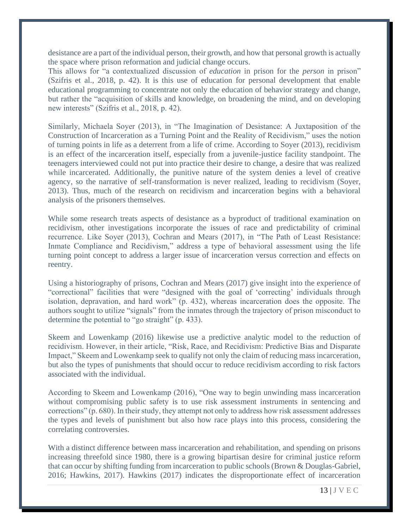desistance are a part of the individual person, their growth, and how that personal growth is actually the space where prison reformation and judicial change occurs.

This allows for "a contextualized discussion of *education* in prison for the *person* in prison" (Szifris et al., 2018, p. 42). It is this use of education for personal development that enable educational programming to concentrate not only the education of behavior strategy and change, but rather the "acquisition of skills and knowledge, on broadening the mind, and on developing new interests" (Szifris et al., 2018, p. 42).

Similarly, Michaela Soyer (2013), in "The Imagination of Desistance: A Juxtaposition of the Construction of Incarceration as a Turning Point and the Reality of Recidivism," uses the notion of turning points in life as a deterrent from a life of crime. According to Soyer (2013), recidivism is an effect of the incarceration itself, especially from a juvenile-justice facility standpoint. The teenagers interviewed could not put into practice their desire to change, a desire that was realized while incarcerated. Additionally, the punitive nature of the system denies a level of creative agency, so the narrative of self-transformation is never realized, leading to recidivism (Soyer, 2013). Thus, much of the research on recidivism and incarceration begins with a behavioral analysis of the prisoners themselves.

While some research treats aspects of desistance as a byproduct of traditional examination on recidivism, other investigations incorporate the issues of race and predictability of criminal recurrence. Like Soyer (2013), Cochran and Mears (2017), in "The Path of Least Resistance: Inmate Compliance and Recidivism," address a type of behavioral assessment using the life turning point concept to address a larger issue of incarceration versus correction and effects on reentry.

Using a historiography of prisons, Cochran and Mears (2017) give insight into the experience of "correctional" facilities that were "designed with the goal of 'correcting' individuals through isolation, depravation, and hard work" (p. 432), whereas incarceration does the opposite. The authors sought to utilize "signals" from the inmates through the trajectory of prison misconduct to determine the potential to "go straight" (p. 433).

Skeem and Lowenkamp (2016) likewise use a predictive analytic model to the reduction of recidivism. However, in their article, "Risk, Race, and Recidivism: Predictive Bias and Disparate Impact," Skeem and Lowenkamp seek to qualify not only the claim of reducing mass incarceration, but also the types of punishments that should occur to reduce recidivism according to risk factors associated with the individual.

According to Skeem and Lowenkamp (2016), "One way to begin unwinding mass incarceration without compromising public safety is to use risk assessment instruments in sentencing and corrections" (p. 680). In their study, they attempt not only to address how risk assessment addresses the types and levels of punishment but also how race plays into this process, considering the correlating controversies.

With a distinct difference between mass incarceration and rehabilitation, and spending on prisons increasing threefold since 1980, there is a growing bipartisan desire for criminal justice reform that can occur by shifting funding from incarceration to public schools (Brown & Douglas-Gabriel, 2016; Hawkins, 2017). Hawkins (2017) indicates the disproportionate effect of incarceration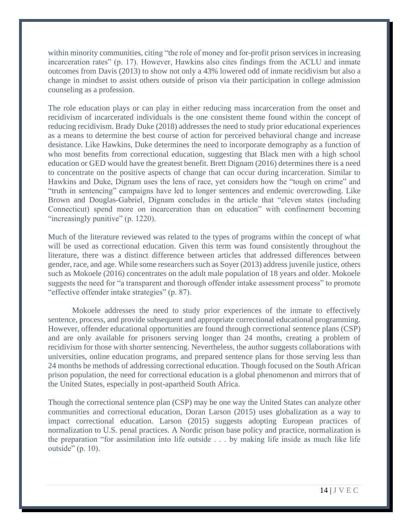within minority communities, citing "the role of money and for-profit prison services in increasing incarceration rates" (p. 17). However, Hawkins also cites findings from the ACLU and inmate outcomes from Davis (2013) to show not only a 43% lowered odd of inmate recidivism but also a change in mindset to assist others outside of prison via their participation in college admission counseling as a profession.

The role education plays or can play in either reducing mass incarceration from the onset and recidivism of incarcerated individuals is the one consistent theme found within the concept of reducing recidivism. Brady Duke (2018) addresses the need to study prior educational experiences as a means to determine the best course of action for perceived behavioral change and increase desistance. Like Hawkins, Duke determines the need to incorporate demography as a function of who most benefits from correctional education, suggesting that Black men with a high school education or GED would have the greatest benefit. Brett Dignam (2016) determines there is a need to concentrate on the positive aspects of change that can occur during incarceration. Similar to Hawkins and Duke, Dignam uses the lens of race, yet considers how the "tough on crime" and "truth in sentencing" campaigns have led to longer sentences and endemic overcrowding. Like Brown and Douglas-Gabriel, Dignam concludes in the article that "eleven states (including Connecticut) spend more on incarceration than on education" with confinement becoming "increasingly punitive" (p. 1220).

Much of the literature reviewed was related to the types of programs within the concept of what will be used as correctional education. Given this term was found consistently throughout the literature, there was a distinct difference between articles that addressed differences between gender, race, and age. While some researchers such as Soyer (2013) address juvenile justice, others such as Mokoele (2016) concentrates on the adult male population of 18 years and older. Mokoele suggests the need for "a transparent and thorough offender intake assessment process" to promote "effective offender intake strategies" (p. 87).

Mokoele addresses the need to study prior experiences of the inmate to effectively sentence, process, and provide subsequent and appropriate correctional educational programming. However, offender educational opportunities are found through correctional sentence plans (CSP) and are only available for prisoners serving longer than 24 months, creating a problem of recidivism for those with shorter sentencing. Nevertheless, the author suggests collaborations with universities, online education programs, and prepared sentence plans for those serving less than 24 months be methods of addressing correctional education. Though focused on the South African prison population, the need for correctional education is a global phenomenon and mirrors that of the United States, especially in post-apartheid South Africa.

Though the correctional sentence plan (CSP) may be one way the United States can analyze other communities and correctional education, Doran Larson (2015) uses globalization as a way to impact correctional education. Larson (2015) suggests adopting European practices of normalization to U.S. penal practices. A Nordic prison base policy and practice, normalization is the preparation "for assimilation into life outside . . . by making life inside as much like life outside" (p. 10).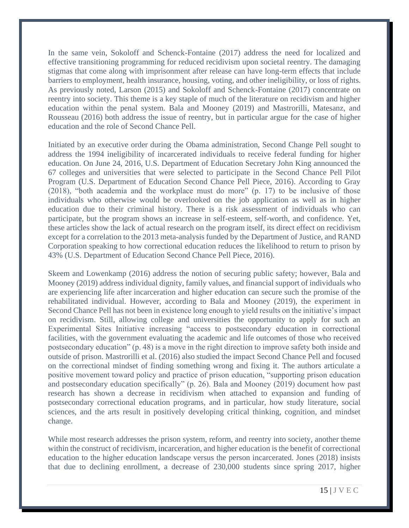In the same vein, Sokoloff and Schenck-Fontaine (2017) address the need for localized and effective transitioning programming for reduced recidivism upon societal reentry. The damaging stigmas that come along with imprisonment after release can have long-term effects that include barriers to employment, health insurance, housing, voting, and other ineligibility, or loss of rights. As previously noted, Larson (2015) and Sokoloff and Schenck-Fontaine (2017) concentrate on reentry into society. This theme is a key staple of much of the literature on recidivism and higher education within the penal system. Bala and Mooney (2019) and Mastrorilli, Matesanz, and Rousseau (2016) both address the issue of reentry, but in particular argue for the case of higher education and the role of Second Chance Pell.

Initiated by an executive order during the Obama administration, Second Change Pell sought to address the 1994 ineligibility of incarcerated individuals to receive federal funding for higher education. On June 24, 2016, U.S. Department of Education Secretary John King announced the 67 colleges and universities that were selected to participate in the Second Chance Pell Pilot Program (U.S. Department of Education Second Chance Pell Piece, 2016). According to Gray (2018), "both academia and the workplace must do more" (p. 17) to be inclusive of those individuals who otherwise would be overlooked on the job application as well as in higher education due to their criminal history. There is a risk assessment of individuals who can participate, but the program shows an increase in self-esteem, self-worth, and confidence. Yet, these articles show the lack of actual research on the program itself, its direct effect on recidivism except for a correlation to the 2013 meta-analysis funded by the Department of Justice, and RAND Corporation speaking to how correctional education reduces the likelihood to return to prison by 43% (U.S. Department of Education Second Chance Pell Piece, 2016).

Skeem and Lowenkamp (2016) address the notion of securing public safety; however, Bala and Mooney (2019) address individual dignity, family values, and financial support of individuals who are experiencing life after incarceration and higher education can secure such the promise of the rehabilitated individual. However, according to Bala and Mooney (2019), the experiment in Second Chance Pell has not been in existence long enough to yield results on the initiative's impact on recidivism. Still, allowing college and universities the opportunity to apply for such an Experimental Sites Initiative increasing "access to postsecondary education in correctional facilities, with the government evaluating the academic and life outcomes of those who received postsecondary education" (p. 48) is a move in the right direction to improve safety both inside and outside of prison. Mastrorilli et al. (2016) also studied the impact Second Chance Pell and focused on the correctional mindset of finding something wrong and fixing it. The authors articulate a positive movement toward policy and practice of prison education, "supporting prison education and postsecondary education specifically" (p. 26). Bala and Mooney (2019) document how past research has shown a decrease in recidivism when attached to expansion and funding of postsecondary correctional education programs, and in particular, how study literature, social sciences, and the arts result in positively developing critical thinking, cognition, and mindset change.

While most research addresses the prison system, reform, and reentry into society, another theme within the construct of recidivism, incarceration, and higher education is the benefit of correctional education to the higher education landscape versus the person incarcerated. Jones (2018) insists that due to declining enrollment, a decrease of 230,000 students since spring 2017, higher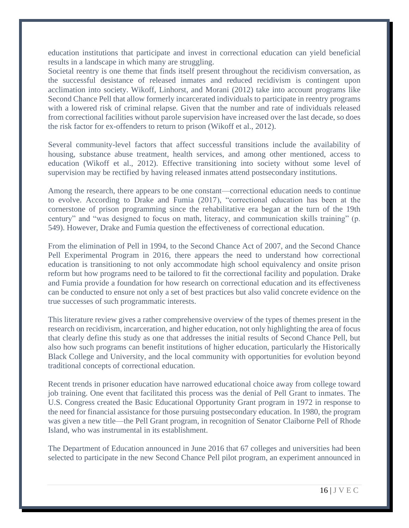education institutions that participate and invest in correctional education can yield beneficial results in a landscape in which many are struggling.

Societal reentry is one theme that finds itself present throughout the recidivism conversation, as the successful desistance of released inmates and reduced recidivism is contingent upon acclimation into society. Wikoff, Linhorst, and Morani (2012) take into account programs like Second Chance Pell that allow formerly incarcerated individuals to participate in reentry programs with a lowered risk of criminal relapse. Given that the number and rate of individuals released from correctional facilities without parole supervision have increased over the last decade, so does the risk factor for ex-offenders to return to prison (Wikoff et al., 2012).

Several community-level factors that affect successful transitions include the availability of housing, substance abuse treatment, health services, and among other mentioned, access to education (Wikoff et al., 2012). Effective transitioning into society without some level of supervision may be rectified by having released inmates attend postsecondary institutions.

Among the research, there appears to be one constant—correctional education needs to continue to evolve. According to Drake and Fumia (2017), "correctional education has been at the cornerstone of prison programming since the rehabilitative era began at the turn of the 19th century" and "was designed to focus on math, literacy, and communication skills training" (p. 549). However, Drake and Fumia question the effectiveness of correctional education.

From the elimination of Pell in 1994, to the Second Chance Act of 2007, and the Second Chance Pell Experimental Program in 2016, there appears the need to understand how correctional education is transitioning to not only accommodate high school equivalency and onsite prison reform but how programs need to be tailored to fit the correctional facility and population. Drake and Fumia provide a foundation for how research on correctional education and its effectiveness can be conducted to ensure not only a set of best practices but also valid concrete evidence on the true successes of such programmatic interests.

This literature review gives a rather comprehensive overview of the types of themes present in the research on recidivism, incarceration, and higher education, not only highlighting the area of focus that clearly define this study as one that addresses the initial results of Second Chance Pell, but also how such programs can benefit institutions of higher education, particularly the Historically Black College and University, and the local community with opportunities for evolution beyond traditional concepts of correctional education.

Recent trends in prisoner education have narrowed educational choice away from college toward job training. One event that facilitated this process was the denial of Pell Grant to inmates. The U.S. Congress created the Basic Educational Opportunity Grant program in 1972 in response to the need for financial assistance for those pursuing postsecondary education. In 1980, the program was given a new title—the Pell Grant program, in recognition of Senator Claiborne Pell of Rhode Island, who was instrumental in its establishment.

The Department of Education announced in June 2016 that 67 colleges and universities had been selected to participate in the new Second Chance Pell pilot program, an experiment announced in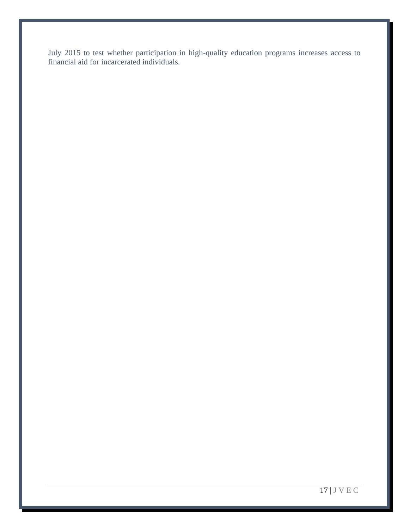July 2015 to test whether participation in high-quality education programs increases access to financial aid for incarcerated individuals.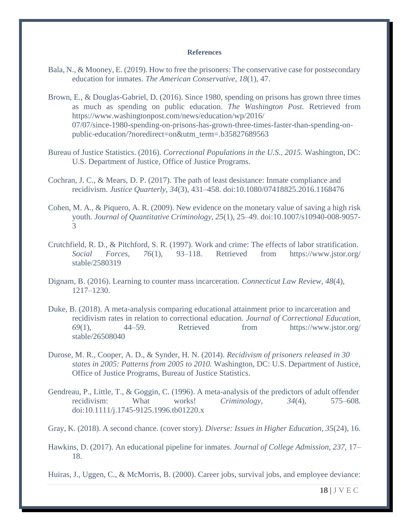#### **References**

- Bala, N., & Mooney, E. (2019). How to free the prisoners: The conservative case for postsecondary education for inmates. *The American Conservative, 18*(1), 47.
- Brown, E., & Douglas-Gabriel, D. (2016). Since 1980, spending on prisons has grown three times as much as spending on public education. *The Washington Post.* Retrieved from https://www.washingtonpost.com/news/education/wp/2016/ 07/07/since-1980-spending-on-prisons-has-grown-three-times-faster-than-spending-onpublic-education/?noredirect=on&utm\_term=.b35827689563
- Bureau of Justice Statistics. (2016). *Correctional Populations in the U.S., 2015.* Washington, DC: U.S. Department of Justice, Office of Justice Programs.
- Cochran, J. C., & Mears, D. P. (2017). The path of least desistance: Inmate compliance and recidivism. *Justice Quarterly, 34*(3), 431–458. doi:10.1080/07418825.2016.1168476
- Cohen, M. A., & Piquero, A. R. (2009). New evidence on the monetary value of saving a high risk youth. *Journal of Quantitative Criminology, 25*(1), 25–49. doi:10.1007/s10940-008-9057- 3
- Crutchfield, R. D., & Pitchford, S. R. (1997). Work and crime: The effects of labor stratification. *Social Forces, 76*(1), 93–118. Retrieved from https://www.jstor.org/ stable/2580319
- Dignam, B. (2016). Learning to counter mass incarceration. *Connecticut Law Review, 48*(4), 1217–1230.
- Duke, B. (2018). A meta-analysis comparing educational attainment prior to incarceration and recidivism rates in relation to correctional education. *Journal of Correctional Education, 69*(1), 44–59. Retrieved from https://www.jstor.org/ stable/26508040
- Durose, M. R., Cooper, A. D., & Synder, H. N. (2014). *Recidivism of prisoners released in 30 states in 2005: Patterns from 2005 to 2010.* Washington, DC: U.S. Department of Justice, Office of Justice Programs, Bureau of Justice Statistics.
- Gendreau, P., Little, T., & Goggin, C. (1996). A meta-analysis of the predictors of adult offender recidivism: What works! *Criminology, 34*(4), 575–608. doi:10.1111/j.1745-9125.1996.tb01220.x

Gray, K. (2018). A second chance. (cover story). *Diverse: Issues in Higher Education, 35*(24), 16.

Hawkins, D. (2017). An educational pipeline for inmates. *Journal of College Admission, 237,* 17– 18.

Huiras, J., Uggen, C., & McMorris, B. (2000). Career jobs, survival jobs, and employee deviance: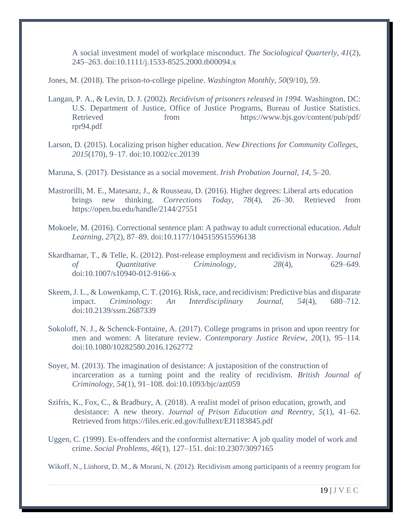A social investment model of workplace misconduct. *The Sociological Quarterly, 41*(2), 245–263. doi:10.1111/j.1533-8525.2000.tb00094.x

Jones, M. (2018). The prison-to-college pipeline. *Washington Monthly, 50*(9/10), 59.

- Langan, P. A., & Levin, D. J. (2002). *Recidivism of prisoners released in 1994.* Washington, DC: U.S. Department of Justice, Office of Justice Programs, Bureau of Justice Statistics. Retrieved from https://www.bjs.gov/content/pub/pdf/ rpr94.pdf
- Larson, D. (2015). Localizing prison higher education. *New Directions for Community Colleges, 2015*(170), 9–17. doi:10.1002/cc.20139

Maruna, S. (2017). Desistance as a social movement. *Irish Probation Journal, 14,* 5–20.

- Mastrorilli, M. E., Matesanz, J., & Rousseau, D. (2016). Higher degrees: Liberal arts education brings new thinking. *Corrections Today, 78*(4), 26–30. Retrieved from <https://open.bu.edu/handle/2144/27551>
- Mokoele, M. (2016). Correctional sentence plan: A pathway to adult correctional education. *Adult Learning, 27*(2), 87–89. doi:10.1177/1045159515596138
- Skardhamar, T., & Telle, K. (2012). Post-release employment and recidivism in Norway. *Journal of Quantitative Criminology, 28*(4), 629–649. doi:10.1007/s10940-012-9166-x
- Skeem, J. L., & Lowenkamp, C. T. (2016). Risk, race, and recidivism: Predictive bias and disparate impact. *Criminology: An Interdisciplinary Journal, 54*(4), 680–712. doi:10.2139/ssrn.2687339
- Sokoloff, N. J., & Schenck-Fontaine, A. (2017). College programs in prison and upon reentry for men and women: A literature review. *Contemporary Justice Review, 20*(1), 95–114. doi:10.1080/10282580.2016.1262772
- Soyer, M. (2013). The imagination of desistance: A juxtaposition of the construction of incarceration as a turning point and the reality of recidivism. *British Journal of Criminology, 54*(1), 91–108. doi:10.1093/bjc/azt059
- Szifris, K., Fox, C., & Bradbury, A. (2018). A realist model of prison education, growth, and desistance: A new theory. *Journal of Prison Education and Reentry, 5*(1), 41–62. Retrieved from<https://files.eric.ed.gov/fulltext/EJ1183845.pdf>
- Uggen, C. (1999). Ex-offenders and the conformist alternative: A job quality model of work and crime. *Social Problems, 46*(1), 127–151. doi:10.2307/3097165

Wikoff, N., Linhorst, D. M., & Morani, N. (2012). Recidivism among participants of a reentry program for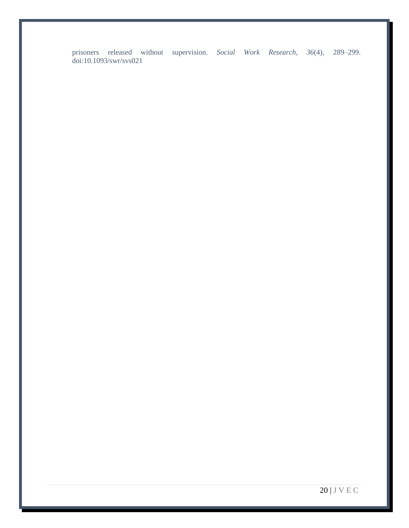prisoners released without supervision. *Social Work Research, 36*(4), 289–299. doi:10.1093/swr/svs021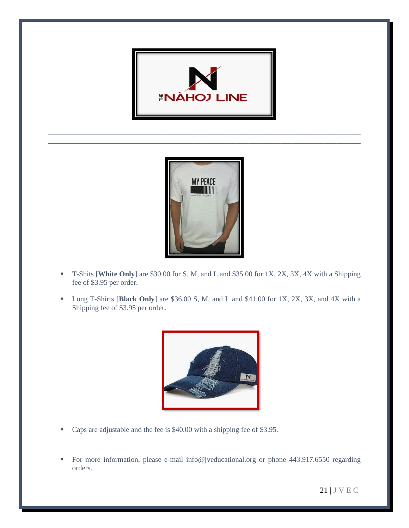

\_\_\_\_\_\_\_\_\_\_\_\_\_\_\_\_\_\_\_\_\_\_\_\_\_\_\_\_\_\_\_\_\_\_\_\_\_\_\_\_\_\_\_\_\_\_\_\_\_\_\_\_\_\_\_\_\_\_\_\_\_\_\_\_\_\_\_\_\_\_\_\_\_\_\_\_\_\_ \_\_\_\_\_\_\_\_\_\_\_\_\_\_\_\_\_\_\_\_\_\_\_\_\_\_\_\_\_\_\_\_\_\_\_\_\_\_\_\_\_\_\_\_\_\_\_\_\_\_\_\_\_\_\_\_\_\_\_\_\_\_\_\_\_\_\_\_\_\_\_\_\_\_\_\_\_\_



- T-Shits [**White Only**] are \$30.00 for S, M, and L and \$35.00 for 1X, 2X, 3X, 4X with a Shipping fee of \$3.95 per order.
- Long T-Shirts [**Black Only**] are \$36.00 S, M, and L and \$41.00 for 1X, 2X, 3X, and 4X with a Shipping fee of \$3.95 per order.



- Caps are adjustable and the fee is \$40.00 with a shipping fee of \$3.95.
- For more information, please e-mail info@jveducational.org or phone 443.917.6550 regarding orders.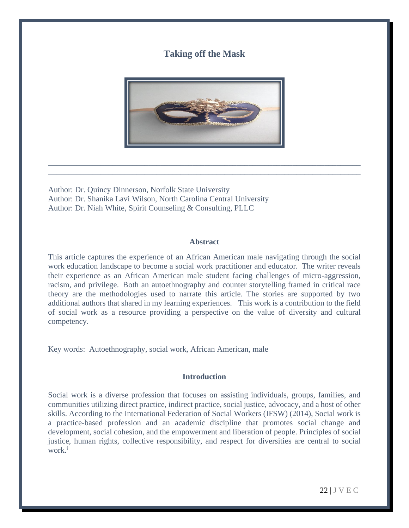### **Taking off the Mask**



\_\_\_\_\_\_\_\_\_\_\_\_\_\_\_\_\_\_\_\_\_\_\_\_\_\_\_\_\_\_\_\_\_\_\_\_\_\_\_\_\_\_\_\_\_\_\_\_\_\_\_\_\_\_\_\_\_\_\_\_\_\_\_\_\_\_\_\_\_\_\_\_\_\_\_\_\_\_ \_\_\_\_\_\_\_\_\_\_\_\_\_\_\_\_\_\_\_\_\_\_\_\_\_\_\_\_\_\_\_\_\_\_\_\_\_\_\_\_\_\_\_\_\_\_\_\_\_\_\_\_\_\_\_\_\_\_\_\_\_\_\_\_\_\_\_\_\_\_\_\_\_\_\_\_\_\_

Author: Dr. Quincy Dinnerson, Norfolk State University Author: Dr. Shanika Lavi Wilson, North Carolina Central University Author: Dr. Niah White, Spirit Counseling & Consulting, PLLC

#### **Abstract**

This article captures the experience of an African American male navigating through the social work education landscape to become a social work practitioner and educator. The writer reveals their experience as an African American male student facing challenges of micro-aggression, racism, and privilege. Both an autoethnography and counter storytelling framed in critical race theory are the methodologies used to narrate this article. The stories are supported by two additional authors that shared in my learning experiences. This work is a contribution to the field of social work as a resource providing a perspective on the value of diversity and cultural competency.

Key words: Autoethnography, social work, African American, male

#### **Introduction**

Social work is a diverse profession that focuses on assisting individuals, groups, families, and communities utilizing direct practice, indirect practice, social justice, advocacy, and a host of other skills. According to the International Federation of Social Workers (IFSW) (2014), Social work is a practice-based profession and an academic discipline that promotes social change and development, social cohesion, and the empowerment and liberation of people. Principles of social justice, human rights, collective responsibility, and respect for diversities are central to social work.<sup>i</sup>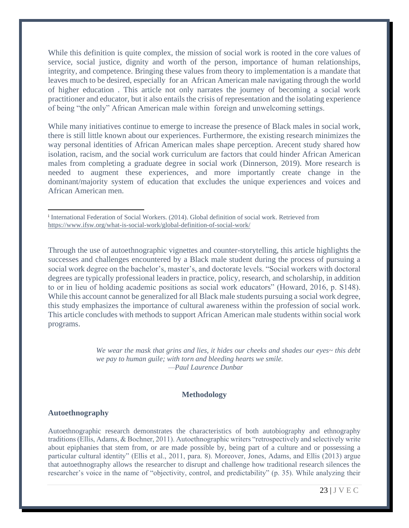While this definition is quite complex, the mission of social work is rooted in the core values of service, social justice, dignity and worth of the person, importance of human relationships, integrity, and competence. Bringing these values from theory to implementation is a mandate that leaves much to be desired, especially for an African American male navigating through the world of higher education . This article not only narrates the journey of becoming a social work practitioner and educator, but it also entails the crisis of representation and the isolating experience of being "the only" African American male within foreign and unwelcoming settings.

While many initiatives continue to emerge to increase the presence of Black males in social work, there is still little known about our experiences. Furthermore, the existing research minimizes the way personal identities of African American males shape perception. Arecent study shared how isolation, racism, and the social work curriculum are factors that could hinder African American males from completing a graduate degree in social work (Dinnerson, 2019). More research is needed to augment these experiences, and more importantly create change in the dominant/majority system of education that excludes the unique experiences and voices and African American men.

i International Federation of Social Workers. (2014). Global definition of social work. Retrieved from <https://www.ifsw.org/what-is-social-work/global-definition-of-social-work/>

Through the use of autoethnographic vignettes and counter-storytelling, this article highlights the successes and challenges encountered by a Black male student during the process of pursuing a social work degree on the bachelor's, master's, and doctorate levels. "Social workers with doctoral degrees are typically professional leaders in practice, policy, research, and scholarship, in addition to or in lieu of holding academic positions as social work educators" (Howard, 2016, p. S148). While this account cannot be generalized for all Black male students pursuing a social work degree, this study emphasizes the importance of cultural awareness within the profession of social work. This article concludes with methods to support African American male students within social work programs.

> *We wear the mask that grins and lies, it hides our cheeks and shades our eyes~ this debt we pay to human guile; with torn and bleeding hearts we smile. —Paul Laurence Dunbar*

#### **Methodology**

#### **Autoethnography**

Autoethnographic research demonstrates the characteristics of both autobiography and ethnography traditions (Ellis, Adams, & Bochner, 2011). Autoethnographic writers "retrospectively and selectively write about epiphanies that stem from, or are made possible by, being part of a culture and or possessing a particular cultural identity" (Ellis et al., 2011, para. 8). Moreover, Jones, Adams, and Ellis (2013) argue that autoethnography allows the researcher to disrupt and challenge how traditional research silences the researcher's voice in the name of "objectivity, control, and predictability" (p. 35). While analyzing their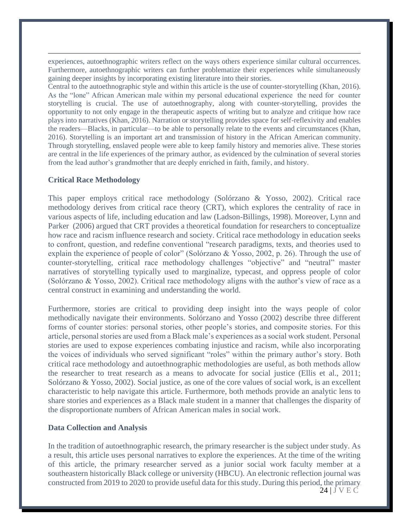experiences, autoethnographic writers reflect on the ways others experience similar cultural occurrences. Furthermore, autoethnographic writers can further problematize their experiences while simultaneously gaining deeper insights by incorporating existing literature into their stories.

Central to the autoethnographic style and within this article is the use of counter-storytelling (Khan, 2016). As the "lone" African American male within my personal educational experience the need for counter storytelling is crucial. The use of autoethnography, along with counter-storytelling, provides the opportunity to not only engage in the therapeutic aspects of writing but to analyze and critique how race plays into narratives (Khan, 2016). Narration or storytelling provides space for self-reflexivity and enables the readers—Blacks, in particular—to be able to personally relate to the events and circumstances (Khan, 2016). Storytelling is an important art and transmission of history in the African American community. Through storytelling, enslaved people were able to keep family history and memories alive. These stories are central in the life experiences of the primary author, as evidenced by the culmination of several stories from the lead author's grandmother that are deeply enriched in faith, family, and history.

#### **Critical Race Methodology**

This paper employs critical race methodology (Solórzano & Yosso, 2002). Critical race methodology derives from critical race theory (CRT), which explores the centrality of race in various aspects of life, including education and law (Ladson-Billings, 1998). Moreover, Lynn and Parker (2006) argued that CRT provides a theoretical foundation for researchers to conceptualize how race and racism influence research and society. Critical race methodology in education seeks to confront, question, and redefine conventional "research paradigms, texts, and theories used to explain the experience of people of color" (Solórzano & Yosso, 2002, p. 26). Through the use of counter-storytelling, critical race methodology challenges "objective" and "neutral" master narratives of storytelling typically used to marginalize, typecast, and oppress people of color (Solórzano & Yosso, 2002). Critical race methodology aligns with the author's view of race as a central construct in examining and understanding the world.

Furthermore, stories are critical to providing deep insight into the ways people of color methodically navigate their environments. Solórzano and Yosso (2002) describe three different forms of counter stories: personal stories, other people's stories, and composite stories. For this article, personal stories are used from a Black male's experiences as a social work student. Personal stories are used to expose experiences combating injustice and racism, while also incorporating the voices of individuals who served significant "roles" within the primary author's story. Both critical race methodology and autoethnographic methodologies are useful, as both methods allow the researcher to treat research as a means to advocate for social justice (Ellis et al., 2011; Solórzano & Yosso, 2002). Social justice, as one of the core values of social work, is an excellent characteristic to help navigate this article. Furthermore, both methods provide an analytic lens to share stories and experiences as a Black male student in a manner that challenges the disparity of the disproportionate numbers of African American males in social work.

#### **Data Collection and Analysis**

24 | J V E C In the tradition of autoethnographic research, the primary researcher is the subject under study. As a result, this article uses personal narratives to explore the experiences. At the time of the writing of this article, the primary researcher served as a junior social work faculty member at a southeastern historically Black college or university (HBCU). An electronic reflection journal was constructed from 2019 to 2020 to provide useful data for this study. During this period, the primary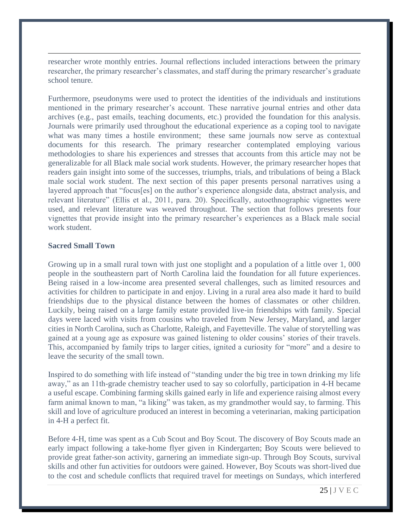researcher wrote monthly entries. Journal reflections included interactions between the primary researcher, the primary researcher's classmates, and staff during the primary researcher's graduate school tenure.

Furthermore, pseudonyms were used to protect the identities of the individuals and institutions mentioned in the primary researcher's account. These narrative journal entries and other data archives (e.g., past emails, teaching documents, etc.) provided the foundation for this analysis. Journals were primarily used throughout the educational experience as a coping tool to navigate what was many times a hostile environment; these same journals now serve as contextual documents for this research. The primary researcher contemplated employing various methodologies to share his experiences and stresses that accounts from this article may not be generalizable for all Black male social work students. However, the primary researcher hopes that readers gain insight into some of the successes, triumphs, trials, and tribulations of being a Black male social work student. The next section of this paper presents personal narratives using a layered approach that "focus[es] on the author's experience alongside data, abstract analysis, and relevant literature" (Ellis et al., 2011, para. 20). Specifically, autoethnographic vignettes were used, and relevant literature was weaved throughout. The section that follows presents four vignettes that provide insight into the primary researcher's experiences as a Black male social work student.

### **Sacred Small Town**

Growing up in a small rural town with just one stoplight and a population of a little over 1,000 people in the southeastern part of North Carolina laid the foundation for all future experiences. Being raised in a low-income area presented several challenges, such as limited resources and activities for children to participate in and enjoy. Living in a rural area also made it hard to build friendships due to the physical distance between the homes of classmates or other children. Luckily, being raised on a large family estate provided live-in friendships with family. Special days were laced with visits from cousins who traveled from New Jersey, Maryland, and larger cities in North Carolina, such as Charlotte, Raleigh, and Fayetteville. The value of storytelling was gained at a young age as exposure was gained listening to older cousins' stories of their travels. This, accompanied by family trips to larger cities, ignited a curiosity for "more" and a desire to leave the security of the small town.

Inspired to do something with life instead of "standing under the big tree in town drinking my life away," as an 11th-grade chemistry teacher used to say so colorfully, participation in 4-H became a useful escape. Combining farming skills gained early in life and experience raising almost every farm animal known to man, "a liking" was taken, as my grandmother would say, to farming. This skill and love of agriculture produced an interest in becoming a veterinarian, making participation in 4-H a perfect fit.

Before 4-H, time was spent as a Cub Scout and Boy Scout. The discovery of Boy Scouts made an early impact following a take-home flyer given in Kindergarten; Boy Scouts were believed to provide great father-son activity, garnering an immediate sign-up. Through Boy Scouts, survival skills and other fun activities for outdoors were gained. However, Boy Scouts was short-lived due to the cost and schedule conflicts that required travel for meetings on Sundays, which interfered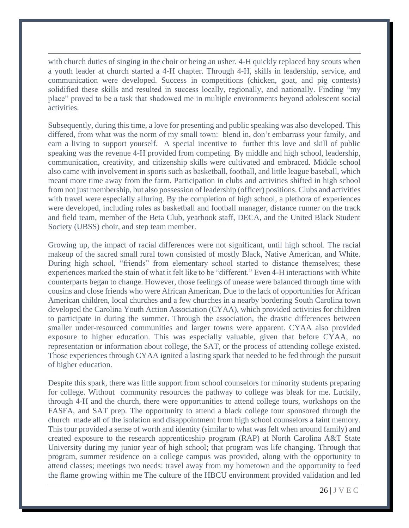with church duties of singing in the choir or being an usher. 4-H quickly replaced boy scouts when a youth leader at church started a 4-H chapter. Through 4-H, skills in leadership, service, and communication were developed. Success in competitions (chicken, goat, and pig contests) solidified these skills and resulted in success locally, regionally, and nationally. Finding "my place" proved to be a task that shadowed me in multiple environments beyond adolescent social activities.

Subsequently, during this time, a love for presenting and public speaking was also developed. This differed, from what was the norm of my small town: blend in, don't embarrass your family, and earn a living to support yourself. A special incentive to further this love and skill of public speaking was the revenue 4-H provided from competing. By middle and high school, leadership, communication, creativity, and citizenship skills were cultivated and embraced. Middle school also came with involvement in sports such as basketball, football, and little league baseball, which meant more time away from the farm. Participation in clubs and activities shifted in high school from not just membership, but also possession of leadership (officer) positions. Clubs and activities with travel were especially alluring. By the completion of high school, a plethora of experiences were developed, including roles as basketball and football manager, distance runner on the track and field team, member of the Beta Club, yearbook staff, DECA, and the United Black Student Society (UBSS) choir, and step team member.

Growing up, the impact of racial differences were not significant, until high school. The racial makeup of the sacred small rural town consisted of mostly Black, Native American, and White. During high school, "friends" from elementary school started to distance themselves; these experiences marked the stain of what it felt like to be "different." Even 4-H interactions with White counterparts began to change. However, those feelings of unease were balanced through time with cousins and close friends who were African American. Due to the lack of opportunities for African American children, local churches and a few churches in a nearby bordering South Carolina town developed the Carolina Youth Action Association (CYAA), which provided activities for children to participate in during the summer. Through the association, the drastic differences between smaller under-resourced communities and larger towns were apparent. CYAA also provided exposure to higher education. This was especially valuable, given that before CYAA, no representation or information about college, the SAT, or the process of attending college existed. Those experiences through CYAA ignited a lasting spark that needed to be fed through the pursuit of higher education.

Despite this spark, there was little support from school counselors for minority students preparing for college. Without community resources the pathway to college was bleak for me. Luckily, through 4-H and the church, there were opportunities to attend college tours, workshops on the FASFA, and SAT prep. The opportunity to attend a black college tour sponsored through the church made all of the isolation and disappointment from high school counselors a faint memory. This tour provided a sense of worth and identity (similar to what was felt when around family) and created exposure to the research apprenticeship program (RAP) at North Carolina A&T State University during my junior year of high school; that program was life changing. Through that program, summer residence on a college campus was provided, along with the opportunity to attend classes; meetings two needs: travel away from my hometown and the opportunity to feed the flame growing within me The culture of the HBCU environment provided validation and led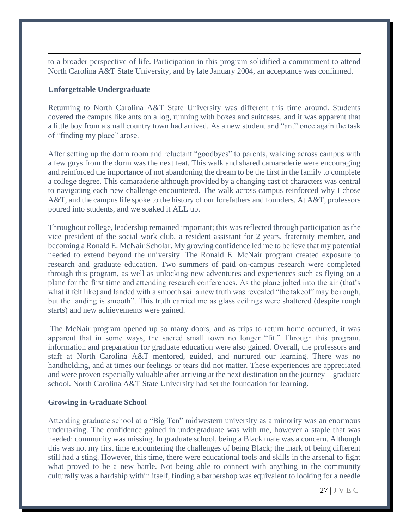to a broader perspective of life. Participation in this program solidified a commitment to attend North Carolina A&T State University, and by late January 2004, an acceptance was confirmed.

### **Unforgettable Undergraduate**

Returning to North Carolina A&T State University was different this time around. Students covered the campus like ants on a log, running with boxes and suitcases, and it was apparent that a little boy from a small country town had arrived. As a new student and "ant" once again the task of "finding my place" arose.

After setting up the dorm room and reluctant "goodbyes" to parents, walking across campus with a few guys from the dorm was the next feat. This walk and shared camaraderie were encouraging and reinforced the importance of not abandoning the dream to be the first in the family to complete a college degree. This camaraderie although provided by a changing cast of characters was central to navigating each new challenge encountered. The walk across campus reinforced why I chose A&T, and the campus life spoke to the history of our forefathers and founders. At A&T, professors poured into students, and we soaked it ALL up.

Throughout college, leadership remained important; this was reflected through participation as the vice president of the social work club, a resident assistant for 2 years, fraternity member, and becoming a Ronald E. McNair Scholar. My growing confidence led me to believe that my potential needed to extend beyond the university. The Ronald E. McNair program created exposure to research and graduate education. Two summers of paid on-campus research were completed through this program, as well as unlocking new adventures and experiences such as flying on a plane for the first time and attending research conferences. As the plane jolted into the air (that's what it felt like) and landed with a smooth sail a new truth was revealed "the takeoff may be rough, but the landing is smooth". This truth carried me as glass ceilings were shattered (despite rough starts) and new achievements were gained.

The McNair program opened up so many doors, and as trips to return home occurred, it was apparent that in some ways, the sacred small town no longer "fit." Through this program, information and preparation for graduate education were also gained. Overall, the professors and staff at North Carolina A&T mentored, guided, and nurtured our learning. There was no handholding, and at times our feelings or tears did not matter. These experiences are appreciated and were proven especially valuable after arriving at the next destination on the journey—graduate school. North Carolina A&T State University had set the foundation for learning.

#### **Growing in Graduate School**

Attending graduate school at a "Big Ten" midwestern university as a minority was an enormous undertaking. The confidence gained in undergraduate was with me, however a staple that was needed: community was missing. In graduate school, being a Black male was a concern. Although this was not my first time encountering the challenges of being Black; the mark of being different still had a sting. However, this time, there were educational tools and skills in the arsenal to fight what proved to be a new battle. Not being able to connect with anything in the community culturally was a hardship within itself, finding a barbershop was equivalent to looking for a needle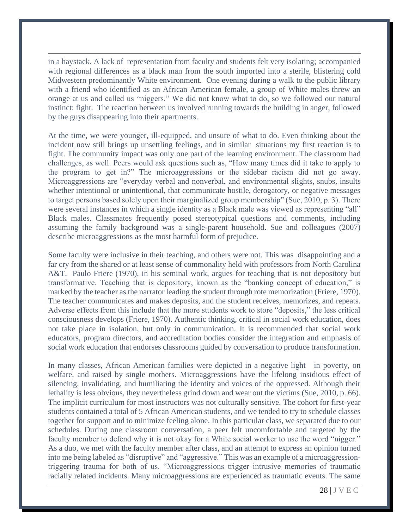in a haystack. A lack of representation from faculty and students felt very isolating; accompanied with regional differences as a black man from the south imported into a sterile, blistering cold Midwestern predominantly White environment. One evening during a walk to the public library with a friend who identified as an African American female, a group of White males threw an orange at us and called us "niggers." We did not know what to do, so we followed our natural instinct: fight. The reaction between us involved running towards the building in anger, followed by the guys disappearing into their apartments.

At the time, we were younger, ill-equipped, and unsure of what to do. Even thinking about the incident now still brings up unsettling feelings, and in similar situations my first reaction is to fight. The community impact was only one part of the learning environment. The classroom had challenges, as well. Peers would ask questions such as, "How many times did it take to apply to the program to get in?" The microaggressions or the sidebar racism did not go away. Microaggressions are "everyday verbal and nonverbal, and environmental slights, snubs, insults whether intentional or unintentional, that communicate hostile, derogatory, or negative messages to target persons based solely upon their marginalized group membership" (Sue, 2010, p. 3). There were several instances in which a single identity as a Black male was viewed as representing "all" Black males. Classmates frequently posed stereotypical questions and comments, including assuming the family background was a single-parent household. Sue and colleagues (2007) describe microaggressions as the most harmful form of prejudice.

Some faculty were inclusive in their teaching, and others were not. This was disappointing and a far cry from the shared or at least sense of commonality held with professors from North Carolina A&T. Paulo Friere (1970), in his seminal work, argues for teaching that is not depository but transformative. Teaching that is depository, known as the "banking concept of education," is marked by the teacher as the narrator leading the student through rote memorization (Friere, 1970). The teacher communicates and makes deposits, and the student receives, memorizes, and repeats. Adverse effects from this include that the more students work to store "deposits," the less critical consciousness develops (Friere, 1970). Authentic thinking, critical in social work education, does not take place in isolation, but only in communication. It is recommended that social work educators, program directors, and accreditation bodies consider the integration and emphasis of social work education that endorses classrooms guided by conversation to produce transformation.

In many classes, African American families were depicted in a negative light—in poverty, on welfare, and raised by single mothers. Microaggressions have the lifelong insidious effect of silencing, invalidating, and humiliating the identity and voices of the oppressed. Although their lethality is less obvious, they nevertheless grind down and wear out the victims (Sue, 2010, p. 66). The implicit curriculum for most instructors was not culturally sensitive. The cohort for first-year students contained a total of 5 African American students, and we tended to try to schedule classes together for support and to minimize feeling alone. In this particular class, we separated due to our schedules. During one classroom conversation, a peer felt uncomfortable and targeted by the faculty member to defend why it is not okay for a White social worker to use the word "nigger." As a duo, we met with the faculty member after class, and an attempt to express an opinion turned into me being labeled as "disruptive" and "aggressive." This was an example of a microaggressiontriggering trauma for both of us. "Microaggressions trigger intrusive memories of traumatic racially related incidents. Many microaggressions are experienced as traumatic events. The same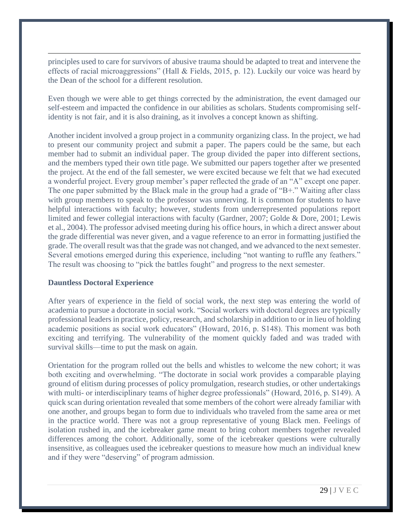principles used to care for survivors of abusive trauma should be adapted to treat and intervene the effects of racial microaggressions" (Hall & Fields, 2015, p. 12). Luckily our voice was heard by the Dean of the school for a different resolution.

Even though we were able to get things corrected by the administration, the event damaged our self-esteem and impacted the confidence in our abilities as scholars. Students compromising selfidentity is not fair, and it is also draining, as it involves a concept known as shifting.

Another incident involved a group project in a community organizing class. In the project, we had to present our community project and submit a paper. The papers could be the same, but each member had to submit an individual paper. The group divided the paper into different sections, and the members typed their own title page. We submitted our papers together after we presented the project. At the end of the fall semester, we were excited because we felt that we had executed a wonderful project. Every group member's paper reflected the grade of an "A" except one paper. The one paper submitted by the Black male in the group had a grade of "B+." Waiting after class with group members to speak to the professor was unnerving. It is common for students to have helpful interactions with faculty; however, students from underrepresented populations report limited and fewer collegial interactions with faculty (Gardner, 2007; Golde & Dore, 2001; Lewis et al., 2004). The professor advised meeting during his office hours, in which a direct answer about the grade differential was never given, and a vague reference to an error in formatting justified the grade. The overall result was that the grade was not changed, and we advanced to the next semester. Several emotions emerged during this experience, including "not wanting to ruffle any feathers." The result was choosing to "pick the battles fought" and progress to the next semester.

#### **Dauntless Doctoral Experience**

After years of experience in the field of social work, the next step was entering the world of academia to pursue a doctorate in social work. "Social workers with doctoral degrees are typically professional leaders in practice, policy, research, and scholarship in addition to or in lieu of holding academic positions as social work educators" (Howard, 2016, p. S148). This moment was both exciting and terrifying. The vulnerability of the moment quickly faded and was traded with survival skills—time to put the mask on again.

Orientation for the program rolled out the bells and whistles to welcome the new cohort; it was both exciting and overwhelming. "The doctorate in social work provides a comparable playing ground of elitism during processes of policy promulgation, research studies, or other undertakings with multi- or interdisciplinary teams of higher degree professionals" (Howard, 2016, p. S149). A quick scan during orientation revealed that some members of the cohort were already familiar with one another, and groups began to form due to individuals who traveled from the same area or met in the practice world. There was not a group representative of young Black men. Feelings of isolation rushed in, and the icebreaker game meant to bring cohort members together revealed differences among the cohort. Additionally, some of the icebreaker questions were culturally insensitive, as colleagues used the icebreaker questions to measure how much an individual knew and if they were "deserving" of program admission.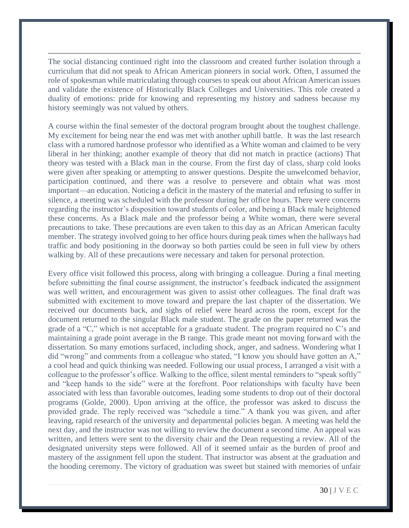The social distancing continued right into the classroom and created further isolation through a curriculum that did not speak to African American pioneers in social work. Often, I assumed the role of spokesman while matriculating through courses to speak out about African American issues and validate the existence of Historically Black Colleges and Universities. This role created a duality of emotions: pride for knowing and representing my history and sadness because my history seemingly was not valued by others.

A course within the final semester of the doctoral program brought about the toughest challenge. My excitement for being near the end was met with another uphill battle. It was the last research class with a rumored hardnose professor who identified as a White woman and claimed to be very liberal in her thinking; another example of theory that did not match in practice (actions) That theory was tested with a Black man in the course. From the first day of class, sharp cold looks were given after speaking or attempting to answer questions. Despite the unwelcomed behavior, participation continued, and there was a resolve to persevere and obtain what was most important—an education. Noticing a deficit in the mastery of the material and refusing to suffer in silence, a meeting was scheduled with the professor during her office hours. There were concerns regarding the instructor's disposition toward students of color, and being a Black male heightened these concerns. As a Black male and the professor being a White woman, there were several precautions to take. These precautions are even taken to this day as an African American faculty member. The strategy involved going to her office hours during peak times when the hallways had traffic and body positioning in the doorway so both parties could be seen in full view by others walking by. All of these precautions were necessary and taken for personal protection.

Every office visit followed this process, along with bringing a colleague. During a final meeting before submitting the final course assignment, the instructor's feedback indicated the assignment was well written, and encouragement was given to assist other colleagues. The final draft was submitted with excitement to move toward and prepare the last chapter of the dissertation. We received our documents back, and sighs of relief were heard across the room, except for the document returned to the singular Black male student. The grade on the paper returned was the grade of a "C," which is not acceptable for a graduate student. The program required no C's and maintaining a grade point average in the B range. This grade meant not moving forward with the dissertation. So many emotions surfaced, including shock, anger, and sadness. Wondering what I did "wrong" and comments from a colleague who stated, "I know you should have gotten an A," a cool head and quick thinking was needed. Following our usual process, I arranged a visit with a colleague to the professor's office. Walking to the office, silent mental reminders to "speak softly" and "keep hands to the side" were at the forefront. Poor relationships with faculty have been associated with less than favorable outcomes, leading some students to drop out of their doctoral programs (Golde, 2000). Upon arriving at the office, the professor was asked to discuss the provided grade. The reply received was "schedule a time." A thank you was given, and after leaving, rapid research of the university and departmental policies began. A meeting was held the next day, and the instructor was not willing to review the document a second time. An appeal was written, and letters were sent to the diversity chair and the Dean requesting a review. All of the designated university steps were followed. All of it seemed unfair as the burden of proof and mastery of the assignment fell upon the student. That instructor was absent at the graduation and the hooding ceremony. The victory of graduation was sweet but stained with memories of unfair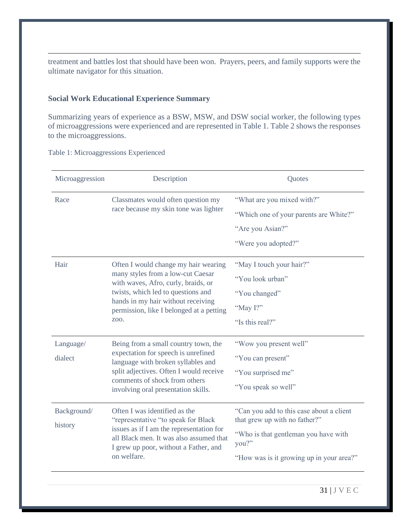treatment and battles lost that should have been won. Prayers, peers, and family supports were the ultimate navigator for this situation.

### **Social Work Educational Experience Summary**

Summarizing years of experience as a BSW, MSW, and DSW social worker, the following types of microaggressions were experienced and are represented in Table 1. Table 2 shows the responses to the microaggressions.

Table 1: Microaggressions Experienced

| Microaggression        | Description                                                                                                                                                                                                                                      | Quotes                                                                                                                                                                 |
|------------------------|--------------------------------------------------------------------------------------------------------------------------------------------------------------------------------------------------------------------------------------------------|------------------------------------------------------------------------------------------------------------------------------------------------------------------------|
| Race                   | Classmates would often question my<br>race because my skin tone was lighter                                                                                                                                                                      | "What are you mixed with?"<br>"Which one of your parents are White?"<br>"Are you Asian?"<br>"Were you adopted?"                                                        |
| Hair                   | Often I would change my hair wearing<br>many styles from a low-cut Caesar<br>with waves, Afro, curly, braids, or<br>twists, which led to questions and<br>hands in my hair without receiving<br>permission, like I belonged at a petting<br>ZOO. | "May I touch your hair?"<br>"You look urban"<br>"You changed"<br>"May I?"<br>"Is this real?"                                                                           |
| Language/<br>dialect   | Being from a small country town, the<br>expectation for speech is unrefined<br>language with broken syllables and<br>split adjectives. Often I would receive<br>comments of shock from others<br>involving oral presentation skills.             | "Wow you present well"<br>"You can present"<br>"You surprised me"<br>"You speak so well"                                                                               |
| Background/<br>history | Often I was identified as the<br>"representative "to speak for Black<br>issues as if I am the representation for<br>all Black men. It was also assumed that<br>I grew up poor, without a Father, and<br>on welfare.                              | "Can you add to this case about a client<br>that grew up with no father?"<br>"Who is that gentleman you have with<br>you?"<br>"How was is it growing up in your area?" |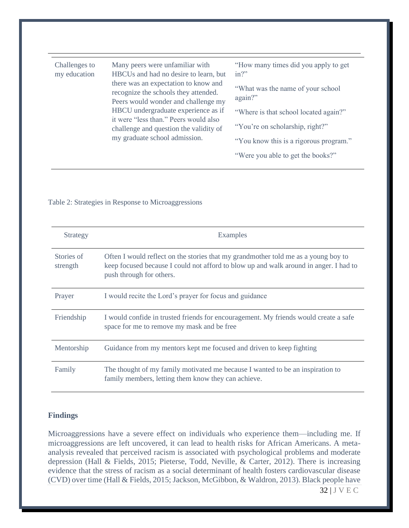| Challenges to<br>my education | Many peers were unfamiliar with<br>HBCUs and had no desire to learn, but<br>there was an expectation to know and<br>recognize the schools they attended.<br>Peers would wonder and challenge my<br>HBCU undergraduate experience as if<br>it were "less than." Peers would also<br>challenge and question the validity of<br>my graduate school admission. | "How many times did you apply to get<br>$in?$ " |
|-------------------------------|------------------------------------------------------------------------------------------------------------------------------------------------------------------------------------------------------------------------------------------------------------------------------------------------------------------------------------------------------------|-------------------------------------------------|
|                               |                                                                                                                                                                                                                                                                                                                                                            | "What was the name of your school"<br>again?"   |
|                               |                                                                                                                                                                                                                                                                                                                                                            | "Where is that school located again?"           |
|                               |                                                                                                                                                                                                                                                                                                                                                            | "You're on scholarship, right?"                 |
|                               |                                                                                                                                                                                                                                                                                                                                                            | "You know this is a rigorous program."          |
|                               |                                                                                                                                                                                                                                                                                                                                                            | "Were you able to get the books?"               |

#### Table 2: Strategies in Response to Microaggressions

| Strategy               | Examples                                                                                                                                                                                                |
|------------------------|---------------------------------------------------------------------------------------------------------------------------------------------------------------------------------------------------------|
| Stories of<br>strength | Often I would reflect on the stories that my grandmother told me as a young boy to<br>keep focused because I could not afford to blow up and walk around in anger. I had to<br>push through for others. |
| Prayer                 | I would recite the Lord's prayer for focus and guidance                                                                                                                                                 |
| Friendship             | I would confide in trusted friends for encouragement. My friends would create a safe<br>space for me to remove my mask and be free                                                                      |
| Mentorship             | Guidance from my mentors kept me focused and driven to keep fighting                                                                                                                                    |
| Family                 | The thought of my family motivated me because I wanted to be an inspiration to<br>family members, letting them know they can achieve.                                                                   |

#### **Findings**

Microaggressions have a severe effect on individuals who experience them—including me. If microaggressions are left uncovered, it can lead to health risks for African Americans. A metaanalysis revealed that perceived racism is associated with psychological problems and moderate depression (Hall & Fields, 2015; Pieterse, Todd, Neville, & Carter, 2012). There is increasing evidence that the stress of racism as a social determinant of health fosters cardiovascular disease (CVD) over time (Hall & Fields, 2015; Jackson, McGibbon, & Waldron, 2013). Black people have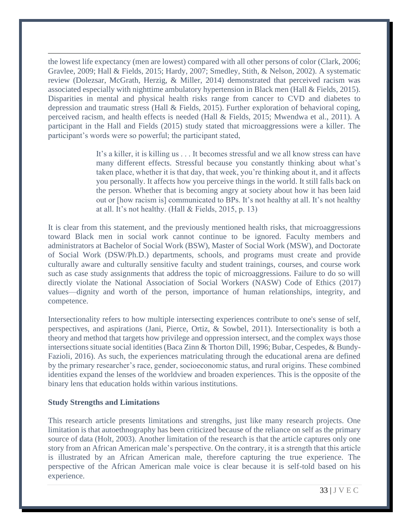the lowest life expectancy (men are lowest) compared with all other persons of color (Clark, 2006; Gravlee, 2009; Hall & Fields, 2015; Hardy, 2007; Smedley, Stith, & Nelson, 2002). A systematic review (Dolezsar, McGrath, Herzig, & Miller, 2014) demonstrated that perceived racism was associated especially with nighttime ambulatory hypertension in Black men (Hall & Fields, 2015). Disparities in mental and physical health risks range from cancer to CVD and diabetes to depression and traumatic stress (Hall & Fields, 2015). Further exploration of behavioral coping, perceived racism, and health effects is needed (Hall & Fields, 2015; Mwendwa et al., 2011). A participant in the Hall and Fields (2015) study stated that microaggressions were a killer. The participant's words were so powerful; the participant stated,

> It's a killer, it is killing us . . . It becomes stressful and we all know stress can have many different effects. Stressful because you constantly thinking about what's taken place, whether it is that day, that week, you're thinking about it, and it affects you personally. It affects how you perceive things in the world. It still falls back on the person. Whether that is becoming angry at society about how it has been laid out or [how racism is] communicated to BPs. It's not healthy at all. It's not healthy at all. It's not healthy. (Hall & Fields, 2015, p. 13)

It is clear from this statement, and the previously mentioned health risks, that microaggressions toward Black men in social work cannot continue to be ignored. Faculty members and administrators at Bachelor of Social Work (BSW), Master of Social Work (MSW), and Doctorate of Social Work (DSW/Ph.D.) departments, schools, and programs must create and provide culturally aware and culturally sensitive faculty and student trainings, courses, and course work such as case study assignments that address the topic of microaggressions. Failure to do so will directly violate the National Association of Social Workers (NASW) Code of Ethics (2017) values—dignity and worth of the person, importance of human relationships, integrity, and competence.

Intersectionality refers to how multiple intersecting experiences contribute to one's sense of self, perspectives, and aspirations (Jani, Pierce, Ortiz, & Sowbel, 2011). Intersectionality is both a theory and method that targets how privilege and oppression intersect, and the complex ways those intersections situate social identities (Baca Zinn & Thorton Dill, 1996; Bubar, Cespedes, & Bundy-Fazioli, 2016). As such, the experiences matriculating through the educational arena are defined by the primary researcher's race, gender, socioeconomic status, and rural origins. These combined identities expand the lenses of the worldview and broaden experiences. This is the opposite of the binary lens that education holds within various institutions.

#### **Study Strengths and Limitations**

This research article presents limitations and strengths, just like many research projects. One limitation is that autoethnography has been criticized because of the reliance on self as the primary source of data (Holt, 2003). Another limitation of the research is that the article captures only one story from an African American male's perspective. On the contrary, it is a strength that this article is illustrated by an African American male, therefore capturing the true experience. The perspective of the African American male voice is clear because it is self-told based on his experience.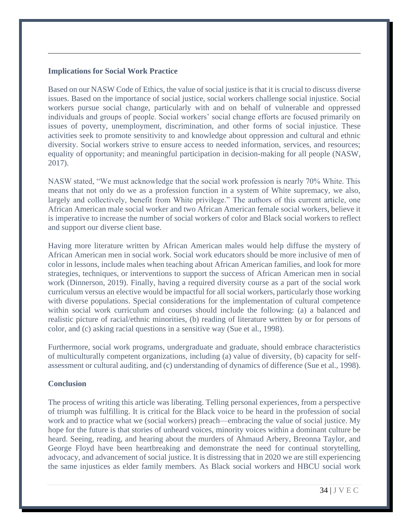#### **Implications for Social Work Practice**

Based on our NASW Code of Ethics, the value of social justice is that it is crucial to discuss diverse issues. Based on the importance of social justice, social workers challenge social injustice. Social workers pursue social change, particularly with and on behalf of vulnerable and oppressed individuals and groups of people. Social workers' social change efforts are focused primarily on issues of poverty, unemployment, discrimination, and other forms of social injustice. These activities seek to promote sensitivity to and knowledge about oppression and cultural and ethnic diversity. Social workers strive to ensure access to needed information, services, and resources; equality of opportunity; and meaningful participation in decision-making for all people (NASW, 2017).

NASW stated, "We must acknowledge that the social work profession is nearly 70% White. This means that not only do we as a profession function in a system of White supremacy, we also, largely and collectively, benefit from White privilege." The authors of this current article, one African American male social worker and two African American female social workers, believe it is imperative to increase the number of social workers of color and Black social workers to reflect and support our diverse client base.

Having more literature written by African American males would help diffuse the mystery of African American men in social work. Social work educators should be more inclusive of men of color in lessons, include males when teaching about African American families, and look for more strategies, techniques, or interventions to support the success of African American men in social work (Dinnerson, 2019). Finally, having a required diversity course as a part of the social work curriculum versus an elective would be impactful for all social workers, particularly those working with diverse populations. Special considerations for the implementation of cultural competence within social work curriculum and courses should include the following: (a) a balanced and realistic picture of racial/ethnic minorities, (b) reading of literature written by or for persons of color, and (c) asking racial questions in a sensitive way (Sue et al., 1998).

Furthermore, social work programs, undergraduate and graduate, should embrace characteristics of multiculturally competent organizations, including (a) value of diversity, (b) capacity for selfassessment or cultural auditing, and (c) understanding of dynamics of difference (Sue et al., 1998).

#### **Conclusion**

The process of writing this article was liberating. Telling personal experiences, from a perspective of triumph was fulfilling. It is critical for the Black voice to be heard in the profession of social work and to practice what we (social workers) preach—embracing the value of social justice. My hope for the future is that stories of unheard voices, minority voices within a dominant culture be heard. Seeing, reading, and hearing about the murders of Ahmaud Arbery, Breonna Taylor, and George Floyd have been heartbreaking and demonstrate the need for continual storytelling, advocacy, and advancement of social justice. It is distressing that in 2020 we are still experiencing the same injustices as elder family members. As Black social workers and HBCU social work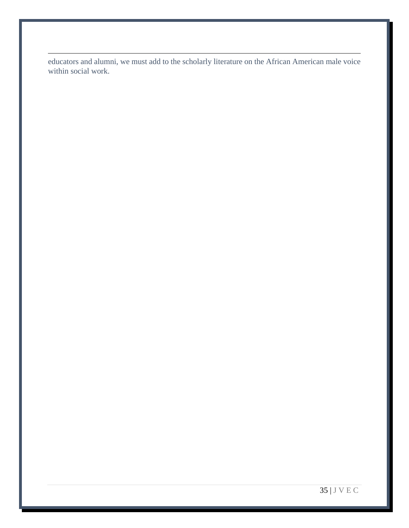educators and alumni, we must add to the scholarly literature on the African American male voice within social work.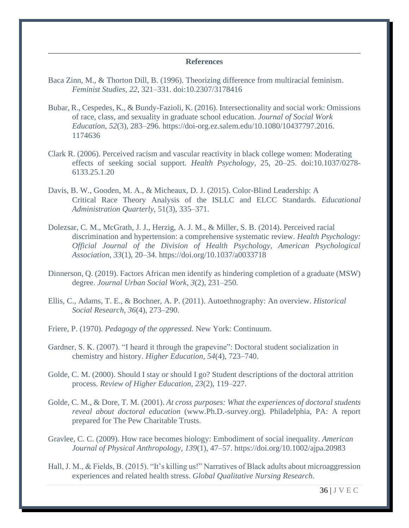#### **References**

- Baca Zinn, M., & Thorton Dill, B. (1996). Theorizing difference from multiracial feminism. *Feminist Studies, 22,* 321–331. doi:10.2307/3178416
- Bubar, R., Cespedes, K., & Bundy-Fazioli, K. (2016). Intersectionality and social work: Omissions of race, class, and sexuality in graduate school education. *Journal of Social Work Education, 52*(3), 283–296. [https://doi-org.ez.salem.edu/10.1080/10437797.2016.](https://doi-org.ez.salem.edu/10.1080/10437797.2016) 1174636
- Clark R. (2006). Perceived racism and vascular reactivity in black college women: Moderating effects of seeking social support. *Health Psychology*, 25, 20–25. doi:10.1037/0278- 6133.25.1.20
- Davis, B. W., Gooden, M. A., & Micheaux, D. J. (2015). Color-Blind Leadership: A Critical Race Theory Analysis of the ISLLC and ELCC Standards. *Educational Administration Quarterly*, 51(3), 335–371.
- Dolezsar, C. M., McGrath, J. J., Herzig, A. J. M., & Miller, S. B. (2014). Perceived racial discrimination and hypertension: a comprehensive systematic review. *Health Psychology: Official Journal of the Division of Health Psychology, American Psychological Association*, *33*(1), 20–34.<https://doi.org/10.1037/a0033718>
- Dinnerson, Q. (2019). Factors African men identify as hindering completion of a graduate (MSW) degree. *Journal Urban Social Work, 3*(2), 231–250.
- Ellis, C., Adams, T. E., & Bochner, A. P. (2011). Autoethnography: An overview. *Historical Social Research, 36*(4), 273–290.
- Friere, P. (1970). *Pedagogy of the oppressed.* New York: Continuum.
- Gardner, S. K. (2007). "I heard it through the grapevine": Doctoral student socialization in chemistry and history. *Higher Education, 54*(4), 723–740.
- Golde, C. M. (2000). Should I stay or should I go? Student descriptions of the doctoral attrition process. *Review of Higher Education, 23*(2), 119–227.
- Golde, C. M., & Dore, T. M. (2001). *At cross purposes: What the experiences of doctoral students reveal about doctoral education* (www.Ph.D.-survey.org). Philadelphia, PA: A report prepared for The Pew Charitable Trusts.
- Gravlee, C. C. (2009). How race becomes biology: Embodiment of social inequality. *American Journal of Physical Anthropology, 139*(1), 47–57.<https://doi.org/10.1002/ajpa.20983>
- Hall, J. M., & Fields, B. (2015). "It's killing us!" Narratives of Black adults about microaggression experiences and related health stress. *Global Qualitative Nursing Research.*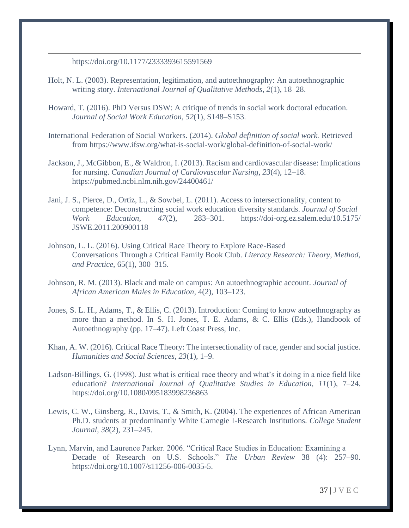<https://doi.org/10.1177/2333393615591569>

- Holt, N. L. (2003). Representation, legitimation, and autoethnography: An autoethnographic writing story. *International Journal of Qualitative Methods, 2*(1), 18–28.
- Howard, T. (2016). PhD Versus DSW: A critique of trends in social work doctoral education. *Journal of Social Work Education, 52*(1), S148–S153.
- International Federation of Social Workers. (2014). *Global definition of social work.* Retrieved from<https://www.ifsw.org/what-is-social-work/global-definition-of-social-work/>
- Jackson, J., McGibbon, E., & Waldron, I. (2013). Racism and cardiovascular disease: Implications for nursing. *Canadian Journal of Cardiovascular Nursing, 23*(4), 12–18. <https://pubmed.ncbi.nlm.nih.gov/24400461/>
- Jani, J. S., Pierce, D., Ortiz, L., & Sowbel, L. (2011). Access to intersectionality, content to competence: Deconstructing social work education diversity standards. *Journal of Social Work Education, 47*(2), 283–301. https://doi-org.ez.salem.edu/10.5175/ JSWE.2011.200900118
- Johnson, L. L. (2016). Using Critical Race Theory to Explore Race-Based Conversations Through a Critical Family Book Club. *Literacy Research: Theory, Method, and Practice*, 65(1), 300–315.
- Johnson, R. M. (2013). Black and male on campus: An autoethnographic account. *Journal of African American Males in Education*, 4(2), 103–123.
- Jones, S. L. H., Adams, T., & Ellis, C. (2013). Introduction: Coming to know autoethnography as more than a method. In S. H. Jones, T. E. Adams, & C. Ellis (Eds.), Handbook of Autoethnography (pp. 17–47). Left Coast Press, Inc.
- Khan, A. W. (2016). Critical Race Theory: The intersectionality of race, gender and social justice. *Humanities and Social Sciences, 23*(1), 1–9.
- Ladson-Billings, G. (1998). Just what is critical race theory and what's it doing in a nice field like education? *International Journal of Qualitative Studies in Education, 11*(1), 7–24. <https://doi.org/10.1080/095183998236863>
- Lewis, C. W., Ginsberg, R., Davis, T., & Smith, K. (2004). The experiences of African American Ph.D. students at predominantly White Carnegie I-Research Institutions. *College Student Journal, 38*(2), 231–245.
- Lynn, Marvin, and Laurence Parker. 2006. "Critical Race Studies in Education: Examining a Decade of Research on U.S. Schools." *The Urban Review* 38 (4): 257–90. [https://doi.org/10.1007/s11256-006-0035-5.](https://doi.org/10.1007/s11256-006-0035-5)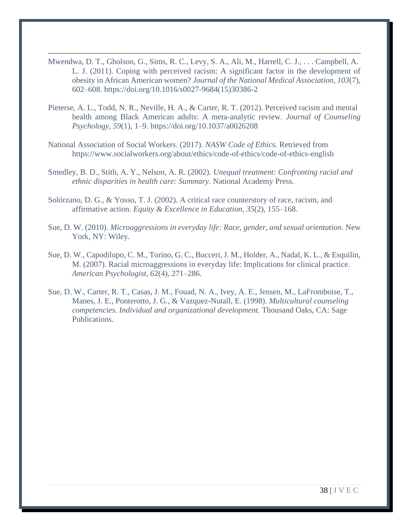- Mwendwa, D. T., Gholson, G., Sims, R. C., Levy, S. A., Ali, M., Harrell, C. J., . . . Campbell, A. L. J. (2011). Coping with perceived racism: A significant factor in the development of obesity in African American women? *Journal of the National Medical Association, 103*(7), 602–608. [https://doi.org/10.1016/s0027-9684\(15\)30386-2](https://doi.org/10.1016/s0027-9684(15)30386-2)
- Pieterse, A. L., Todd, N. R., Neville, H. A., & Carter, R. T. (2012). Perceived racism and mental health among Black American adults: A meta-analytic review. *Journal of Counseling Psychology, 59*(1), 1–9.<https://doi.org/10.1037/a0026208>
- National Association of Social Workers. (2017). *NASW Code of Ethics.* Retrieved from <https://www.socialworkers.org/about/ethics/code-of-ethics/code-of-ethics-english>
- Smedley, B. D., Stith, A. Y., Nelson, A. R. (2002). *Unequal treatment: Confronting racial and ethnic disparities in health care: Summary*. National Academy Press.
- Solórzano, D. G., & Yosso, T. J. (2002). A critical race counterstory of race, racism, and affirmative action. *Equity & Excellence in Education*, *35*(2), 155–168.
- Sue, D. W. (2010). *Microaggressions in everyday life: Race, gender, and sexual orientation.* New York, NY: Wiley.
- Sue, D. W., Capodilupo, C. M., Torino, G. C., Bucceri, J. M., Holder, A., Nadal, K. L., & Esquilin, M. (2007). Racial microaggressions in everyday life: Implications for clinical practice. *American Psychologist, 6*2(4), 271–286.
- Sue, D. W., Carter, R. T., Casas, J. M., Fouad, N. A., Ivey, A. E., Jensen, M., LaFromboise, T., Manes, J. E., Ponterotto, J. G., & Vazquez-Nutall, E. (1998). *Multicultural counseling competencies. Individual and organizational development.* Thousand Oaks, CA: Sage Publications.